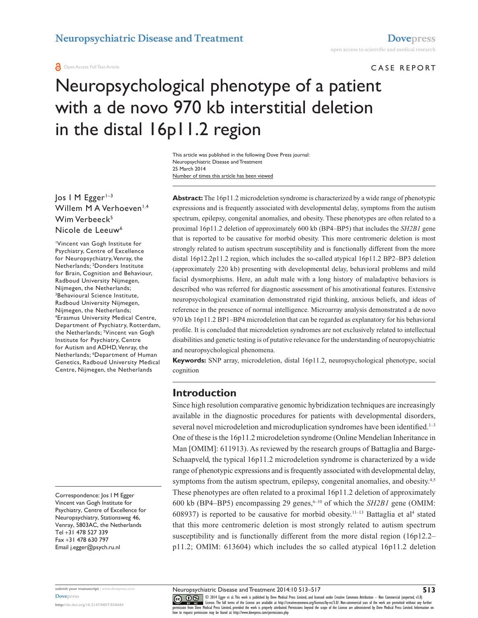Open Access Full Text Article

#### Case report

# Neuropsychological phenotype of a patient with a de novo 970 kb interstitial deletion in the distal 16p11.2 region

Number of times this article has been viewed This article was published in the following Dove Press journal: Neuropsychiatric Disease and Treatment 25 March 2014

Jos I M Egger<sup>1-3</sup> Willem M A Verhoeven<sup>1,4</sup> Wim Verbeeck<sup>5</sup> Nicole de Leeuw<sup>6</sup>

1 Vincent van Gogh Institute for Psychiatry, Centre of Excellence for Neuropsychiatry, Venray, the Netherlands; 2 Donders Institute for Brain, Cognition and Behaviour, Radboud University Nijmegen, Nijmegen, the Netherlands; 3 Behavioural Science Institute, Radboud University Nijmegen, Nijmegen, the Netherlands; 4 Erasmus University Medical Centre, Department of Psychiatry, Rotterdam, the Netherlands; <sup>5</sup>Vincent van Gogh Institute for Psychiatry, Centre for Autism and ADHD, Venray, the Netherlands; <sup>6</sup>Department of Human Genetics, Radboud University Medical Centre, Nijmegen, the Netherlands

Correspondence: Jos I M Egger Vincent van Gogh Institute for Psychiatry, Centre of Excellence for Neuropsychiatry, Stationsweg 46, Venray, 5803AC, the Netherlands Tel +31 478 527 339 Fax +31 478 630 797 Email [j.egger@psych.ru.nl](mailto:j.egger@psych.ru.nl)

**Abstract:** The 16p11.2 microdeletion syndrome is characterized by a wide range of phenotypic expressions and is frequently associated with developmental delay, symptoms from the autism spectrum, epilepsy, congenital anomalies, and obesity. These phenotypes are often related to a proximal 16p11.2 deletion of approximately 600 kb (BP4–BP5) that includes the *SH2B1* gene that is reported to be causative for morbid obesity. This more centromeric deletion is most strongly related to autism spectrum susceptibility and is functionally different from the more distal 16p12.2p11.2 region, which includes the so-called atypical 16p11.2 BP2–BP3 deletion (approximately 220 kb) presenting with developmental delay, behavioral problems and mild facial dysmorphisms. Here, an adult male with a long history of maladaptive behaviors is described who was referred for diagnostic assessment of his amotivational features. Extensive neuropsychological examination demonstrated rigid thinking, anxious beliefs, and ideas of reference in the presence of normal intelligence. Microarray analysis demonstrated a de novo 970 kb 16p11.2 BP1–BP4 microdeletion that can be regarded as explanatory for his behavioral profile. It is concluded that microdeletion syndromes are not exclusively related to intellectual disabilities and genetic testing is of putative relevance for the understanding of neuropsychiatric and neuropsychological phenomena.

**Keywords:** SNP array, microdeletion, distal 16p11.2, neuropsychological phenotype, social cognition

### **Introduction**

Since high resolution comparative genomic hybridization techniques are increasingly available in the diagnostic procedures for patients with developmental disorders, several novel microdeletion and microduplication syndromes have been identified.<sup>1-3</sup> One of these is the 16p11.2 microdeletion syndrome (Online Mendelian Inheritance in Man [OMIM]: 611913). As reviewed by the research groups of Battaglia and Barge-Schaapveld, the typical 16p11.2 microdeletion syndrome is characterized by a wide range of phenotypic expressions and is frequently associated with developmental delay, symptoms from the autism spectrum, epilepsy, congenital anomalies, and obesity.<sup>4,5</sup> These phenotypes are often related to a proximal 16p11.2 deletion of approximately 600 kb (BP4–BP5) encompassing 29 genes,<sup> $6-10$ </sup> of which the *SH2B1* gene (OMIM:  $608937$ ) is reported to be causative for morbid obesity.<sup>11-13</sup> Battaglia et al<sup>4</sup> stated that this more centromeric deletion is most strongly related to autism spectrum susceptibility and is functionally different from the more distal region (16p12.2– p11.2; OMIM: 613604) which includes the so called atypical 16p11.2 deletion

CO ODI 4 Egger et al. This work is published by Dove Medical Press Limited, and licensed under Creative Commons Attribution - Non Commercial (unported, v3.0)<br> [permission from Dove M](http://www.dovepress.com/permissions.php)edical Press Limited, provided the work i how to request permission may be found at: http://www.dovepress.com/permissions.php

**submit your manuscript** | <www.dovepress.com> **[Dovepress](www.dovepress.com)**

**<http://dx.doi.org/10.2147/NDT.S58684>**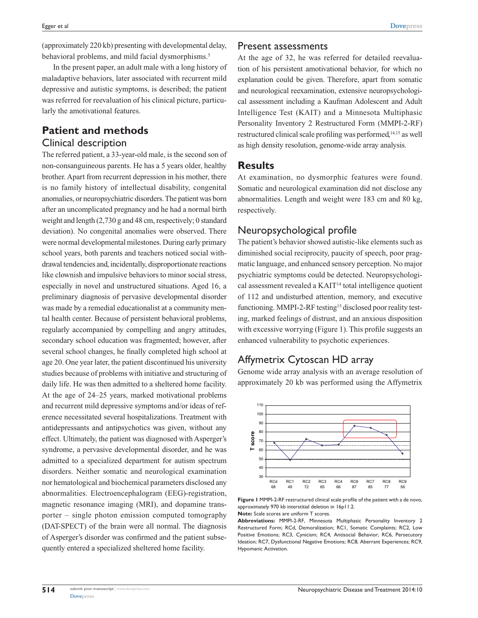(approximately 220 kb) presenting with developmental delay, behavioral problems, and mild facial dysmorphisms.<sup>5</sup>

In the present paper, an adult male with a long history of maladaptive behaviors, later associated with recurrent mild depressive and autistic symptoms, is described; the patient was referred for reevaluation of his clinical picture, particularly the amotivational features.

## **Patient and methods** Clinical description

The referred patient, a 33-year-old male, is the second son of non-consanguineous parents. He has a 5 years older, healthy brother. Apart from recurrent depression in his mother, there is no family history of intellectual disability, congenital anomalies, or neuropsychiatric disorders. The patient was born after an uncomplicated pregnancy and he had a normal birth weight and length (2,730 g and 48 cm, respectively; 0 standard deviation). No congenital anomalies were observed. There were normal developmental milestones. During early primary school years, both parents and teachers noticed social withdrawal tendencies and, incidentally, disproportionate reactions like clownish and impulsive behaviors to minor social stress, especially in novel and unstructured situations. Aged 16, a preliminary diagnosis of pervasive developmental disorder was made by a remedial educationalist at a community mental health center. Because of persistent behavioral problems, regularly accompanied by compelling and angry attitudes, secondary school education was fragmented; however, after several school changes, he finally completed high school at age 20. One year later, the patient discontinued his university studies because of problems with initiative and structuring of daily life. He was then admitted to a sheltered home facility. At the age of 24–25 years, marked motivational problems and recurrent mild depressive symptoms and/or ideas of reference necessitated several hospitalizations. Treatment with antidepressants and antipsychotics was given, without any effect. Ultimately, the patient was diagnosed with Asperger's syndrome, a pervasive developmental disorder, and he was admitted to a specialized department for autism spectrum disorders. Neither somatic and neurological examination nor hematological and biochemical parameters disclosed any abnormalities. Electroencephalogram (EEG)-registration, magnetic resonance imaging (MRI), and dopamine transporter – single photon emission computed tomography (DAT-SPECT) of the brain were all normal. The diagnosis of Asperger's disorder was confirmed and the patient subsequently entered a specialized sheltered home facility.

#### Present assessments

At the age of 32, he was referred for detailed reevaluation of his persistent amotivational behavior, for which no explanation could be given. Therefore, apart from somatic and neurological reexamination, extensive neuropsychological assessment including a Kaufman Adolescent and Adult Intelligence Test (KAIT) and a Minnesota Multiphasic Personality Inventory 2 Restructured Form (MMPI-2-RF) restructured clinical scale profiling was performed,14,15 as well as high density resolution, genome-wide array analysis.

### **Results**

At examination, no dysmorphic features were found. Somatic and neurological examination did not disclose any abnormalities. Length and weight were 183 cm and 80 kg, respectively.

## Neuropsychological profile

The patient's behavior showed autistic-like elements such as diminished social reciprocity, paucity of speech, poor pragmatic language, and enhanced sensory perception. No major psychiatric symptoms could be detected. Neuropsychological assessment revealed a KAIT14 total intelligence quotient of 112 and undisturbed attention, memory, and executive functioning. MMPI-2-RF testing<sup>15</sup> disclosed poor reality testing, marked feelings of distrust, and an anxious disposition with excessive worrying (Figure 1). This profile suggests an enhanced vulnerability to psychotic experiences.

# Affymetrix Cytoscan HD array

Genome wide array analysis with an average resolution of approximately 20 kb was performed using the Affymetrix



**Figure 1** MMPI-2-RF restructured clinical scale profile of the patient with a de novo, approximately 970 kb interstitial deletion in 16p11.2.

**Note:** Scale scores are uniform T scores.

**Abbreviations:** MMPI-2-RF, Minnesota Multiphasic Personality Inventory 2 Restructured Form; RCd, Demoralization; RC1, Somatic Complaints; RC2, Low Positive Emotions; RC3, Cynicism; RC4, Antisocial Behavior; RC6, Persecutory Ideation; RC7, Dysfunctional Negative Emotions; RC8, Aberrant Experiences; RC9, Hypomanic Activation.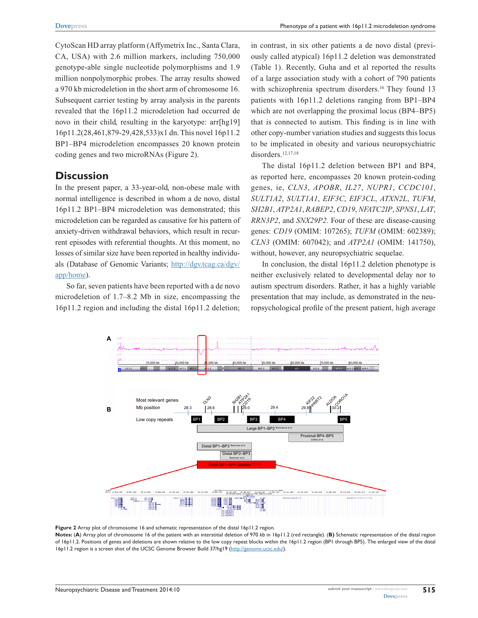Phenotype of a patient with 16p11.2 microdeletion syndrome

CytoScan HD array platform (Affymetrix Inc., Santa Clara, CA, USA) with 2.6 million markers, including 750,000 genotype-able single nucleotide polymorphisms and 1.9 million nonpolymorphic probes. The array results showed a 970 kb microdeletion in the short arm of chromosome 16. Subsequent carrier testing by array analysis in the parents revealed that the 16p11.2 microdeletion had occurred de novo in their child, resulting in the karyotype: arr[hg19] 16p11.2(28,461,879-29,428,533)x1 dn. This novel 16p11.2 BP1–BP4 microdeletion encompasses 20 known protein coding genes and two microRNAs (Figure 2).

### **Discussion**

In the present paper, a 33-year-old, non-obese male with normal intelligence is described in whom a de novo, distal 16p11.2 BP1–BP4 microdeletion was demonstrated; this microdeletion can be regarded as causative for his pattern of anxiety-driven withdrawal behaviors, which result in recurrent episodes with referential thoughts. At this moment, no losses of similar size have been reported in healthy individuals (Database of Genomic Variants; [http://dgv.tcag.ca/dgv/](http://dgv.tcag.ca/dgv/app/home) [app/home\)](http://dgv.tcag.ca/dgv/app/home).

So far, seven patients have been reported with a de novo microdeletion of 1.7–8.2 Mb in size, encompassing the 16p11.2 region and including the distal 16p11.2 deletion; in contrast, in six other patients a de novo distal (previously called atypical) 16p11.2 deletion was demonstrated (Table 1). Recently, Guha and et al reported the results of a large association study with a cohort of 790 patients with schizophrenia spectrum disorders.<sup>16</sup> They found 13 patients with 16p11.2 deletions ranging from BP1–BP4 which are not overlapping the proximal locus (BP4–BP5) that is connected to autism. This finding is in line with other copy-number variation studies and suggests this locus to be implicated in obesity and various neuropsychiatric disorders.<sup>12,17,18</sup>

The distal 16p11.2 deletion between BP1 and BP4, as reported here, encompasses 20 known protein-coding genes, ie, *CLN3*, *APOBR*, *IL27*, *NUPR1*, *CCDC101*, *SULT1A2*, *SULT1A1*, *EIF3C*, *EIF3CL*, *ATXN2L*, *TUFM*, *SH2B1*, *ATP2A1*, *RABEP2*, *CD19*, *NFATC2IP*, *SPNS1*, *LAT*, *RRN3P2*, and *SNX29P2*. Four of these are disease-causing genes: *CD19* (OMIM: 107265); *TUFM* (OMIM: 602389); *CLN3* (OMIM: 607042); and *ATP2A1* (OMIM: 141750), without, however, any neuropsychiatric sequelae.

In conclusion, the distal 16p11.2 deletion phenotype is neither exclusively related to developmental delay nor to autism spectrum disorders. Rather, it has a highly variable presentation that may include, as demonstrated in the neuropsychological profile of the present patient, high average



**Figure 2** Array plot of chromosome 16 and schematic representation of the distal 16p11.2 region.

**Notes:** (**A**) Array plot of chromosome 16 of the patient with an interstitial deletion of 970 kb in 16p11.2 (red rectangle). (**B)** Schematic representation of the distal region of 16p11.2. Positions of genes and deletions are shown relative to the low copy repeat blocks within the 16p11.2 region (BP1 through BP5). The enlarged view of the distal 16p11.2 region is a screen shot of the UCSC Genome Browser Build 37/hg19 (<http://genome.ucsc.edu/>).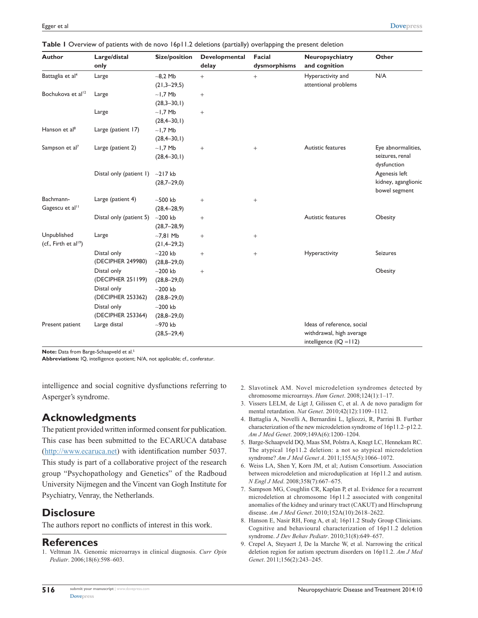| <b>Author</b>                                    | Large/distal<br>only                            | <b>Size/position</b>                    | Developmental<br>delay | <b>Facial</b><br>dysmorphisms | Neuropsychiatry<br>and cognition                                                     | Other                                                 |
|--------------------------------------------------|-------------------------------------------------|-----------------------------------------|------------------------|-------------------------------|--------------------------------------------------------------------------------------|-------------------------------------------------------|
| Battaglia et al <sup>4</sup>                     | Large                                           | $-8.2$ Mb<br>$(21,3-29,5)$              | $+$                    | $^{+}$                        | Hyperactivity and<br>attentional problems                                            | N/A                                                   |
| Bochukova et al <sup>12</sup>                    | Large                                           | $~1.7$ Mb<br>$(28,3-30,1)$              | $^{+}$                 |                               |                                                                                      |                                                       |
|                                                  | Large                                           | $~1.7$ Mb<br>$(28, 4 - 30, 1)$          | $^{+}$                 |                               |                                                                                      |                                                       |
| Hanson et al <sup>8</sup>                        | Large (patient 17)                              | $~1.7$ Mb<br>$(28, 4 - 30, 1)$          |                        |                               |                                                                                      |                                                       |
| Sampson et al <sup>7</sup>                       | Large (patient 2)                               | $-1,7$ Mb<br>$(28, 4 - 30, 1)$          | $\! + \!\!\!\!$        | $^{+}$                        | Autistic features                                                                    | Eye abnormalities,<br>seizures, renal<br>dysfunction  |
|                                                  | Distal only (patient 1)                         | $-217$ kb<br>$(28,7-29,0)$              |                        |                               |                                                                                      | Agenesis left<br>kidney, aganglionic<br>bowel segment |
| Bachmann-<br>Gagescu et al <sup>11</sup>         | Large (patient 4)                               | $-500$ kb<br>$(28, 4 - 28, 9)$          | $+$                    | $^{+}$                        |                                                                                      |                                                       |
|                                                  | Distal only (patient 5)                         | $-200$ kb<br>$(28,7-28,9)$              | $+$                    |                               | Autistic features                                                                    | Obesity                                               |
| Unpublished<br>(cf., Firth et al <sup>19</sup> ) | Large                                           | $-7,81$ Mb<br>$(21, 4-29, 2)$           | $+$                    | $^{+}$                        |                                                                                      |                                                       |
|                                                  | Distal only<br>(DECIPHER 249980)                | $-220$ kb<br>$(28,8-29,0)$              | $+$                    | $^{+}$                        | Hyperactivity                                                                        | <b>Seizures</b>                                       |
|                                                  | Distal only<br>(DECIPHER 251199)<br>Distal only | $-200$ kb<br>$(28,8-29,0)$<br>$-200$ kb | $^{+}$                 |                               |                                                                                      | Obesity                                               |
|                                                  | (DECIPHER 253362)<br>Distal only                | $(28,8-29,0)$<br>$-200$ kb              |                        |                               |                                                                                      |                                                       |
|                                                  | (DECIPHER 253364)                               | $(28,8-29,0)$                           |                        |                               |                                                                                      |                                                       |
| Present patient                                  | Large distal                                    | $-970$ kb<br>$(28,5 - 29,4)$            |                        |                               | Ideas of reference, social<br>withdrawal, high average<br>intelligence $(IQ = I 12)$ |                                                       |

**Note:** Data from Barge-Schaapveld et al.<sup>5</sup>

**Abbreviations:** IQ, intelligence quotient; N/A, not applicable; cf., conferatur.

intelligence and social cognitive dysfunctions referring to Asperger's syndrome.

### **Acknowledgments**

The patient provided written informed consent for publication. This case has been submitted to the ECARUCA database [\(http://www.ecaruca.net\)](http://www.ecaruca.net) with identification number 5037. This study is part of a collaborative project of the research group "Psychopathology and Genetics" of the Radboud University Nijmegen and the Vincent van Gogh Institute for Psychiatry, Venray, the Netherlands.

### **Disclosure**

The authors report no conflicts of interest in this work.

#### **References**

1. Veltman JA. Genomic microarrays in clinical diagnosis. *Curr Opin Pediatr*. 2006;18(6):598–603.

- 2. Slavotinek AM. Novel microdeletion syndromes detected by chromosome microarrays. *Hum Genet*. 2008;124(1):1–17.
- 3. Vissers LELM, de Ligt J, Gilissen C, et al. A de novo paradigm for mental retardation. *Nat Genet*. 2010;42(12):1109–1112.
- 4. Battaglia A, Novelli A, Bernardini L, Igliozzi, R, Parrini B. Further characterization of the new microdeletion syndrome of 16p11.2–p12.2. *Am J Med Genet*. 2009;149A(6):1200–1204.
- 5. Barge-Schaapveld DQ, Maas SM, Polstra A, Knegt LC, Hennekam RC. The atypical 16p11.2 deletion: a not so atypical microdeletion syndrome? *Am J Med Genet A*. 2011;155A(5):1066–1072.
- 6. Weiss LA, Shen Y, Korn JM, et al; Autism Consortium. Association between microdeletion and microduplication at 16p11.2 and autism. *N Engl J Med*. 2008;358(7):667–675.
- 7. Sampson MG, Coughlin CR, Kaplan P, et al. Evidence for a recurrent microdeletion at chromosome 16p11.2 associated with congenital anomalies of the kidney and urinary tract (CAKUT) and Hirschsprung disease. *Am J Med Genet*. 2010;152A(10):2618–2622.
- 8. Hanson E, Nasir RH, Fong A, et al; 16p11.2 Study Group Clinicians. Cognitive and behavioural characterization of 16p11.2 deletion syndrome. *J Dev Behav Pediatr*. 2010;31(8):649–657.
- 9. Crepel A, Steyaert J, De la Marche W, et al. Narrowing the critical deletion region for autism spectrum disorders on 16p11.2. *Am J Med Genet*. 2011;156(2):243–245.